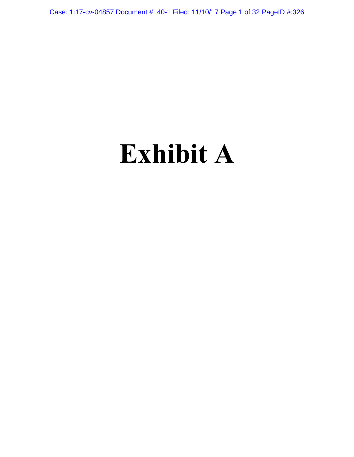Case: 1:17-cv-04857 Document #: 40-1 Filed: 11/10/17 Page 1 of 32 PageID #:326

# **Exhibit A**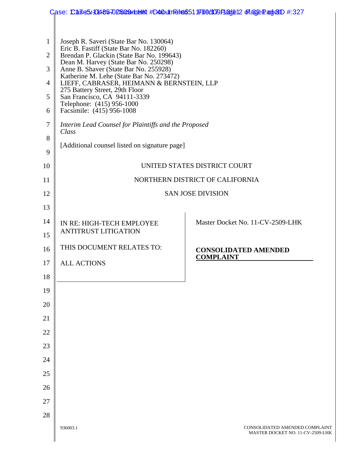|                | Case: Ca3e5.10485702509 mb h #D40 un Felat 6511 F10 009 Pade 12 Fa3e Pade 1 #:327                                                                                                                                                                                                                                   |                                                                    |  |
|----------------|---------------------------------------------------------------------------------------------------------------------------------------------------------------------------------------------------------------------------------------------------------------------------------------------------------------------|--------------------------------------------------------------------|--|
|                |                                                                                                                                                                                                                                                                                                                     |                                                                    |  |
| $\mathbf{1}$   | Joseph R. Saveri (State Bar No. 130064)<br>Eric B. Fastiff (State Bar No. 182260)                                                                                                                                                                                                                                   |                                                                    |  |
| $\overline{2}$ | Brendan P. Glackin (State Bar No. 199643)<br>Dean M. Harvey (State Bar No. 250298)<br>Anne B. Shaver (State Bar No. 255928)<br>Katherine M. Lehe (State Bar No. 273472)<br>LIEFF, CABRASER, HEIMANN & BERNSTEIN, LLP<br>275 Battery Street, 29th Floor<br>San Francisco, CA 94111-3339<br>Telephone: (415) 956-1000 |                                                                    |  |
| 3              |                                                                                                                                                                                                                                                                                                                     |                                                                    |  |
| 4              |                                                                                                                                                                                                                                                                                                                     |                                                                    |  |
| 5              |                                                                                                                                                                                                                                                                                                                     |                                                                    |  |
| 6              | Facsimile: (415) 956-1008                                                                                                                                                                                                                                                                                           |                                                                    |  |
| 7              | Interim Lead Counsel for Plaintiffs and the Proposed<br>Class                                                                                                                                                                                                                                                       |                                                                    |  |
| 8              | [Additional counsel listed on signature page]                                                                                                                                                                                                                                                                       |                                                                    |  |
| 9              |                                                                                                                                                                                                                                                                                                                     |                                                                    |  |
| 10             |                                                                                                                                                                                                                                                                                                                     | UNITED STATES DISTRICT COURT                                       |  |
| 11             |                                                                                                                                                                                                                                                                                                                     | NORTHERN DISTRICT OF CALIFORNIA                                    |  |
| 12             |                                                                                                                                                                                                                                                                                                                     | <b>SAN JOSE DIVISION</b>                                           |  |
| 13             |                                                                                                                                                                                                                                                                                                                     |                                                                    |  |
| 14             | IN RE: HIGH-TECH EMPLOYEE                                                                                                                                                                                                                                                                                           | Master Docket No. 11-CV-2509-LHK                                   |  |
| 15             | <b>ANTITRUST LITIGATION</b>                                                                                                                                                                                                                                                                                         |                                                                    |  |
| 16             | THIS DOCUMENT RELATES TO:                                                                                                                                                                                                                                                                                           | <b>CONSOLIDATED AMENDED</b><br><b>COMPLAINT</b>                    |  |
| 17             | <b>ALL ACTIONS</b>                                                                                                                                                                                                                                                                                                  |                                                                    |  |
| 18             |                                                                                                                                                                                                                                                                                                                     |                                                                    |  |
| 19             |                                                                                                                                                                                                                                                                                                                     |                                                                    |  |
| 20             |                                                                                                                                                                                                                                                                                                                     |                                                                    |  |
| 21             |                                                                                                                                                                                                                                                                                                                     |                                                                    |  |
| 22             |                                                                                                                                                                                                                                                                                                                     |                                                                    |  |
| 23             |                                                                                                                                                                                                                                                                                                                     |                                                                    |  |
| 24             |                                                                                                                                                                                                                                                                                                                     |                                                                    |  |
| 25             |                                                                                                                                                                                                                                                                                                                     |                                                                    |  |
| 26             |                                                                                                                                                                                                                                                                                                                     |                                                                    |  |
| 27             |                                                                                                                                                                                                                                                                                                                     |                                                                    |  |
| 28             |                                                                                                                                                                                                                                                                                                                     |                                                                    |  |
|                | 936003.1                                                                                                                                                                                                                                                                                                            | CONSOLIDATED AMENDED COMPLAINT<br>MASTER DOCKET NO. 11-CV-2509-LHK |  |
|                |                                                                                                                                                                                                                                                                                                                     |                                                                    |  |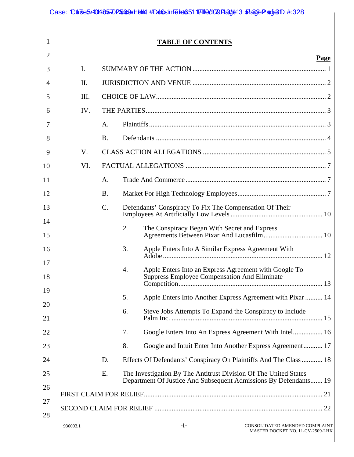|          |          |           |    | Case: Ca3e5/10485702509rheint#D40t1nfeitt6511F110d109Flaxje13 ofa32ePaxje1D #:328                                                    |
|----------|----------|-----------|----|--------------------------------------------------------------------------------------------------------------------------------------|
| 1        |          |           |    |                                                                                                                                      |
|          |          |           |    | <b>TABLE OF CONTENTS</b>                                                                                                             |
| 2        |          |           |    | Page                                                                                                                                 |
| 3        | I.       |           |    |                                                                                                                                      |
| 4        | II.      |           |    |                                                                                                                                      |
| 5        | III.     |           |    |                                                                                                                                      |
| 6        | IV.      |           |    |                                                                                                                                      |
| 7        |          | A.        |    |                                                                                                                                      |
| 8        |          | <b>B.</b> |    |                                                                                                                                      |
| 9        | V.       |           |    |                                                                                                                                      |
| 10       | VI.      |           |    |                                                                                                                                      |
| 11       |          | A.        |    |                                                                                                                                      |
| 12       |          | <b>B.</b> |    |                                                                                                                                      |
| 13       |          | C.        |    | Defendants' Conspiracy To Fix The Compensation Of Their                                                                              |
| 14<br>15 |          |           | 2. |                                                                                                                                      |
| 16       |          |           | 3. | Apple Enters Into A Similar Express Agreement With                                                                                   |
| 17<br>18 |          |           | 4. | Apple Enters Into an Express Agreement with Google To<br>Suppress Employee Compensation And Eliminate                                |
| 19<br>20 |          |           | 5. | Apple Enters Into Another Express Agreement with Pixar  14                                                                           |
| 21       |          |           | 6. | Steve Jobs Attempts To Expand the Conspiracy to Include                                                                              |
| 22       |          |           | 7. | Google Enters Into An Express Agreement With Intel 16                                                                                |
| 23       |          |           | 8. | Google and Intuit Enter Into Another Express Agreement 17                                                                            |
| 24       |          | D.        |    | Effects Of Defendants' Conspiracy On Plaintiffs And The Class  18                                                                    |
| 25       |          | E.        |    | The Investigation By The Antitrust Division Of The United States<br>Department Of Justice And Subsequent Admissions By Defendants 19 |
| 26       |          |           |    |                                                                                                                                      |
| 27       |          |           |    |                                                                                                                                      |
| 28       | 936003.1 |           |    | $-i-$<br>CONSOLIDATED AMENDED COMPLAINT<br>MASTER DOCKET NO. 11-CV-2509-LHK                                                          |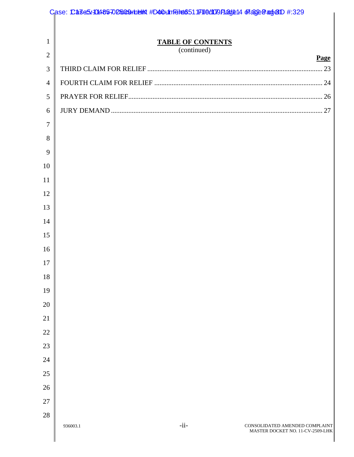|                | Case: Ca3e5.11485702509 h elk #D40 un Felt 6511 F11 0 d109 Flat 9:14 Ff a3 e BanjelD #:329 |  |  |  |
|----------------|--------------------------------------------------------------------------------------------|--|--|--|
|                |                                                                                            |  |  |  |
| $\mathbf{1}$   | <b>TABLE OF CONTENTS</b><br>(continued)                                                    |  |  |  |
| $\overline{2}$ | Page                                                                                       |  |  |  |
| 3              |                                                                                            |  |  |  |
| $\overline{4}$ |                                                                                            |  |  |  |
| 5              |                                                                                            |  |  |  |
| 6              |                                                                                            |  |  |  |
| $\overline{7}$ |                                                                                            |  |  |  |
| 8              |                                                                                            |  |  |  |
| 9              |                                                                                            |  |  |  |
| 10             |                                                                                            |  |  |  |
| 11             |                                                                                            |  |  |  |
| 12             |                                                                                            |  |  |  |
| 13             |                                                                                            |  |  |  |
| 14             |                                                                                            |  |  |  |
| 15             |                                                                                            |  |  |  |
| 16             |                                                                                            |  |  |  |
| 17             |                                                                                            |  |  |  |
| 18             |                                                                                            |  |  |  |
| 19             |                                                                                            |  |  |  |
| 20             |                                                                                            |  |  |  |
| 21             |                                                                                            |  |  |  |
| 22             |                                                                                            |  |  |  |
| 23             |                                                                                            |  |  |  |
| 24             |                                                                                            |  |  |  |
| 25             |                                                                                            |  |  |  |
| 26             |                                                                                            |  |  |  |
| 27             |                                                                                            |  |  |  |
| 28             |                                                                                            |  |  |  |
|                | $-i$ i-<br>CONSOLIDATED AMENDED COMPLAINT<br>936003.1<br>MASTER DOCKET NO. 11-CV-2509-LHK  |  |  |  |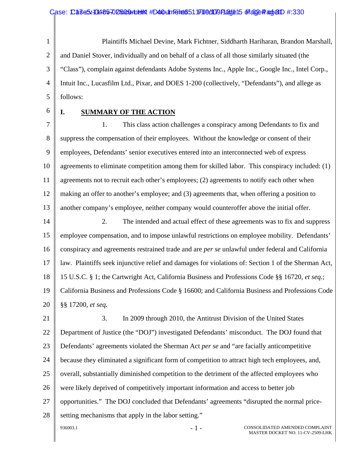1 2 3 4 5 Plaintiffs Michael Devine, Mark Fichtner, Siddharth Hariharan, Brandon Marshall, and Daniel Stover, individually and on behalf of a class of all those similarly situated (the "Class"), complain against defendants Adobe Systems Inc., Apple Inc., Google Inc., Intel Corp., Intuit Inc., Lucasfilm Ltd., Pixar, and DOES 1-200 (collectively, "Defendants"), and allege as follows:

6

## **I. SUMMARY OF THE ACTION**

7 8 9 10 11 12 13 1. This class action challenges a conspiracy among Defendants to fix and suppress the compensation of their employees. Without the knowledge or consent of their employees, Defendants' senior executives entered into an interconnected web of express agreements to eliminate competition among them for skilled labor. This conspiracy included: (1) agreements not to recruit each other's employees; (2) agreements to notify each other when making an offer to another's employee; and (3) agreements that, when offering a position to another company's employee, neither company would counteroffer above the initial offer.

14 15 16 17 18 19 20 2. The intended and actual effect of these agreements was to fix and suppress employee compensation, and to impose unlawful restrictions on employee mobility. Defendants' conspiracy and agreements restrained trade and are *per se* unlawful under federal and California law. Plaintiffs seek injunctive relief and damages for violations of: Section 1 of the Sherman Act, 15 U.S.C. § 1; the Cartwright Act, California Business and Professions Code §§ 16720, *et seq.*; California Business and Professions Code § 16600; and California Business and Professions Code §§ 17200, *et seq.*

21 22 23 24 25 26 27 28 936003.1 - 1 - CONSOLIDATED AMENDED COMPLAINT MASTER DOCKET NO. 11-CV-2509-LHK 3. In 2009 through 2010, the Antitrust Division of the United States Department of Justice (the "DOJ") investigated Defendants' misconduct. The DOJ found that Defendants' agreements violated the Sherman Act *per se* and "are facially anticompetitive because they eliminated a significant form of competition to attract high tech employees, and, overall, substantially diminished competition to the detriment of the affected employees who were likely deprived of competitively important information and access to better job opportunities." The DOJ concluded that Defendants' agreements "disrupted the normal pricesetting mechanisms that apply in the labor setting."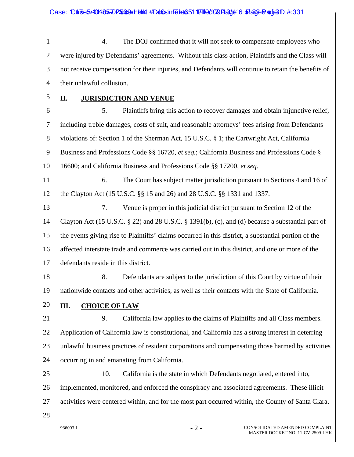| $\mathbf{1}$   | The DOJ confirmed that it will not seek to compensate employees who<br>4.                            |
|----------------|------------------------------------------------------------------------------------------------------|
| $\overline{2}$ | were injured by Defendants' agreements. Without this class action, Plaintiffs and the Class will     |
| 3              | not receive compensation for their injuries, and Defendants will continue to retain the benefits of  |
| $\overline{4}$ | their unlawful collusion.                                                                            |
| 5              | <b>JURISDICTION AND VENUE</b><br>П.                                                                  |
| 6              | Plaintiffs bring this action to recover damages and obtain injunctive relief,<br>5.                  |
| 7              | including treble damages, costs of suit, and reasonable attorneys' fees arising from Defendants      |
| 8              | violations of: Section 1 of the Sherman Act, 15 U.S.C. § 1; the Cartwright Act, California           |
| 9              | Business and Professions Code §§ 16720, et seq.; California Business and Professions Code §          |
| 10             | 16600; and California Business and Professions Code §§ 17200, et seq.                                |
| 11             | 6.<br>The Court has subject matter jurisdiction pursuant to Sections 4 and 16 of                     |
| 12             | the Clayton Act (15 U.S.C. §§ 15 and 26) and 28 U.S.C. §§ 1331 and 1337.                             |
| 13             | Venue is proper in this judicial district pursuant to Section 12 of the<br>7.                        |
| 14             | Clayton Act (15 U.S.C. § 22) and 28 U.S.C. § 1391(b), (c), and (d) because a substantial part of     |
| 15             | the events giving rise to Plaintiffs' claims occurred in this district, a substantial portion of the |
| 16             | affected interstate trade and commerce was carried out in this district, and one or more of the      |
| 17             | defendants reside in this district.                                                                  |
| 18             | 8.<br>Defendants are subject to the jurisdiction of this Court by virtue of their                    |
| 19             | nationwide contacts and other activities, as well as their contacts with the State of California.    |
| 20             | III.<br><b>CHOICE OF LAW</b>                                                                         |
| 21             | 9.<br>California law applies to the claims of Plaintiffs and all Class members.                      |
| 22             | Application of California law is constitutional, and California has a strong interest in deterring   |
| 23             | unlawful business practices of resident corporations and compensating those harmed by activities     |
| 24             | occurring in and emanating from California.                                                          |
| 25             | 10.<br>California is the state in which Defendants negotiated, entered into,                         |
| 26             | implemented, monitored, and enforced the conspiracy and associated agreements. These illicit         |
| 27             | activities were centered within, and for the most part occurred within, the County of Santa Clara.   |
| 28             |                                                                                                      |
|                | CONSOLIDATED AMENDED COMPLAINT<br>$-2-$<br>936003.1                                                  |

MASTER DOCKET NO. 11-CV-2509-LHK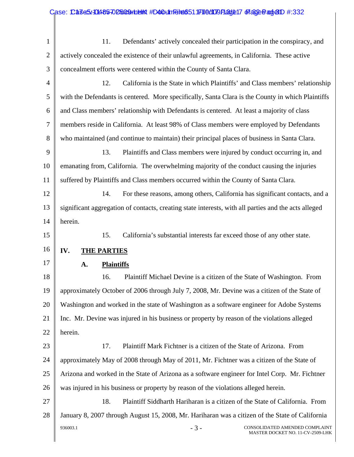| $\mathbf{1}$   | Defendants' actively concealed their participation in the conspiracy, and<br>11.                     |
|----------------|------------------------------------------------------------------------------------------------------|
| $\overline{2}$ | actively concealed the existence of their unlawful agreements, in California. These active           |
| 3              | concealment efforts were centered within the County of Santa Clara.                                  |
| $\overline{4}$ | California is the State in which Plaintiffs' and Class members' relationship<br>12.                  |
| 5              | with the Defendants is centered. More specifically, Santa Clara is the County in which Plaintiffs    |
| 6              | and Class members' relationship with Defendants is centered. At least a majority of class            |
| 7              | members reside in California. At least 98% of Class members were employed by Defendants              |
| 8              | who maintained (and continue to maintain) their principal places of business in Santa Clara.         |
| 9              | 13.<br>Plaintiffs and Class members were injured by conduct occurring in, and                        |
| 10             | emanating from, California. The overwhelming majority of the conduct causing the injuries            |
| 11             | suffered by Plaintiffs and Class members occurred within the County of Santa Clara.                  |
| 12             | 14.<br>For these reasons, among others, California has significant contacts, and a                   |
| 13             | significant aggregation of contacts, creating state interests, with all parties and the acts alleged |
| 14             | herein.                                                                                              |
| 15             | California's substantial interests far exceed those of any other state.<br>15.                       |
|                |                                                                                                      |
| 16             | IV.<br><b>THE PARTIES</b>                                                                            |
| 17             | A.<br><b>Plaintiffs</b>                                                                              |
| 18             | Plaintiff Michael Devine is a citizen of the State of Washington. From<br>16.                        |
| 19             | approximately October of 2006 through July 7, 2008, Mr. Devine was a citizen of the State of         |
| 20             | Washington and worked in the state of Washington as a software engineer for Adobe Systems            |
| 21             | Inc. Mr. Devine was injured in his business or property by reason of the violations alleged          |
| 22             | herein.                                                                                              |
| 23             | Plaintiff Mark Fichtner is a citizen of the State of Arizona. From<br>17.                            |
| 24             | approximately May of 2008 through May of 2011, Mr. Fichtner was a citizen of the State of            |
| 25             | Arizona and worked in the State of Arizona as a software engineer for Intel Corp. Mr. Fichtner       |
| 26             | was injured in his business or property by reason of the violations alleged herein.                  |
| 27             | 18.<br>Plaintiff Siddharth Hariharan is a citizen of the State of California. From                   |
| 28             | January 8, 2007 through August 15, 2008, Mr. Hariharan was a citizen of the State of California      |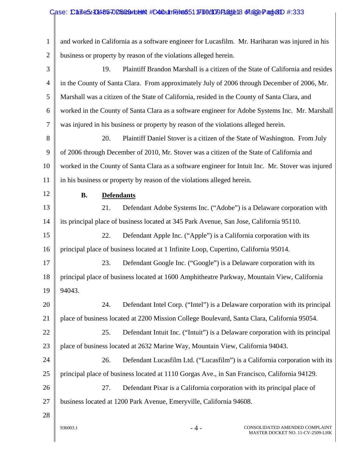## Case: Case5/1048570 D5009 rub m #D40 Unfelt 651 Filed09 Page18 Frage Page1 #:333

| 1              | and worked in California as a software engineer for Lucasfilm. Mr. Hariharan was injured in his   |
|----------------|---------------------------------------------------------------------------------------------------|
| $\overline{2}$ | business or property by reason of the violations alleged herein.                                  |
| 3              | Plaintiff Brandon Marshall is a citizen of the State of California and resides<br>19.             |
| $\overline{4}$ | in the County of Santa Clara. From approximately July of 2006 through December of 2006, Mr.       |
| 5              | Marshall was a citizen of the State of California, resided in the County of Santa Clara, and      |
| 6              | worked in the County of Santa Clara as a software engineer for Adobe Systems Inc. Mr. Marshall    |
| 7              | was injured in his business or property by reason of the violations alleged herein.               |
| 8              | 20.<br>Plaintiff Daniel Stover is a citizen of the State of Washington. From July                 |
| 9              | of 2006 through December of 2010, Mr. Stover was a citizen of the State of California and         |
| 10             | worked in the County of Santa Clara as a software engineer for Intuit Inc. Mr. Stover was injured |
| 11             | in his business or property by reason of the violations alleged herein.                           |
| 12             | <b>B.</b><br><b>Defendants</b>                                                                    |
| 13             | 21.<br>Defendant Adobe Systems Inc. ("Adobe") is a Delaware corporation with                      |
| 14             | its principal place of business located at 345 Park Avenue, San Jose, California 95110.           |
| 15             | 22.<br>Defendant Apple Inc. ("Apple") is a California corporation with its                        |
| 16             | principal place of business located at 1 Infinite Loop, Cupertino, California 95014.              |
| 17             | Defendant Google Inc. ("Google") is a Delaware corporation with its<br>23.                        |
| 18             | principal place of business located at 1600 Amphitheatre Parkway, Mountain View, California       |
| 19             | 94043.                                                                                            |
| 20             | Defendant Intel Corp. ("Intel") is a Delaware corporation with its principal<br>24.               |
| 21             | place of business located at 2200 Mission College Boulevard, Santa Clara, California 95054.       |
| 22             | Defendant Intuit Inc. ("Intuit") is a Delaware corporation with its principal<br>25.              |
| 23             | place of business located at 2632 Marine Way, Mountain View, California 94043.                    |
| 24             | Defendant Lucasfilm Ltd. ("Lucasfilm") is a California corporation with its<br>26.                |
| 25             | principal place of business located at 1110 Gorgas Ave., in San Francisco, California 94129.      |
| 26             | Defendant Pixar is a California corporation with its principal place of<br>27.                    |
| 27             | business located at 1200 Park Avenue, Emeryville, California 94608.                               |
| 28             |                                                                                                   |
|                | 936003.1<br>$-4-$<br>CONSOLIDATED AMENDED COMPLAINT                                               |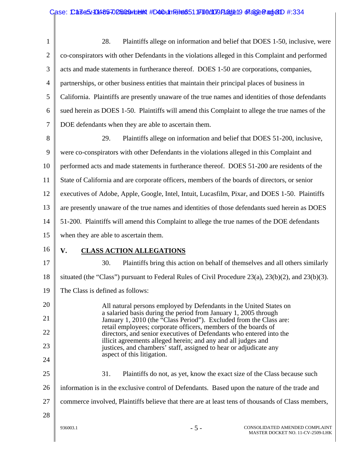1 2 3 4 5 6 7 8 9 10 11 12 13 14 15 16 17 18 19 20 21 22 23 24 25 26 28. Plaintiffs allege on information and belief that DOES 1-50, inclusive, were co-conspirators with other Defendants in the violations alleged in this Complaint and performed acts and made statements in furtherance thereof. DOES 1-50 are corporations, companies, partnerships, or other business entities that maintain their principal places of business in California. Plaintiffs are presently unaware of the true names and identities of those defendants sued herein as DOES 1-50. Plaintiffs will amend this Complaint to allege the true names of the DOE defendants when they are able to ascertain them. 29. Plaintiffs allege on information and belief that DOES 51-200, inclusive, were co-conspirators with other Defendants in the violations alleged in this Complaint and performed acts and made statements in furtherance thereof. DOES 51-200 are residents of the State of California and are corporate officers, members of the boards of directors, or senior executives of Adobe, Apple, Google, Intel, Intuit, Lucasfilm, Pixar, and DOES 1-50. Plaintiffs are presently unaware of the true names and identities of those defendants sued herein as DOES 51-200. Plaintiffs will amend this Complaint to allege the true names of the DOE defendants when they are able to ascertain them. **V. CLASS ACTION ALLEGATIONS** 30. Plaintiffs bring this action on behalf of themselves and all others similarly situated (the "Class") pursuant to Federal Rules of Civil Procedure 23(a), 23(b)(2), and 23(b)(3). The Class is defined as follows: All natural persons employed by Defendants in the United States on a salaried basis during the period from January 1, 2005 through January 1, 2010 (the "Class Period"). Excluded from the Class are: retail employees; corporate officers, members of the boards of directors, and senior executives of Defendants who entered into the illicit agreements alleged herein; and any and all judges and justices, and chambers' staff, assigned to hear or adjudicate any aspect of this litigation. 31. Plaintiffs do not, as yet, know the exact size of the Class because such information is in the exclusive control of Defendants. Based upon the nature of the trade and

- commerce involved, Plaintiffs believe that there are at least tens of thousands of Class members,
- 28

27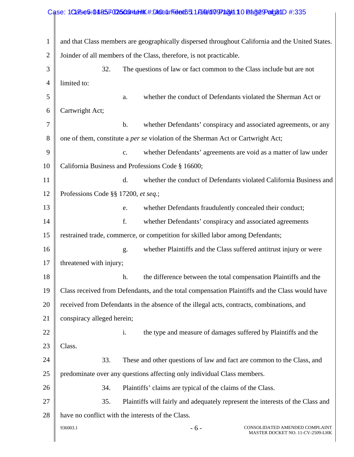|                | Case: 1Clase5:0485702509mdthK#:DlocurFided6511Ai0d1097a8d10Ba8e9atge1D#:335                      |
|----------------|--------------------------------------------------------------------------------------------------|
|                |                                                                                                  |
| $\mathbf{1}$   | and that Class members are geographically dispersed throughout California and the United States. |
| $\overline{2}$ | Joinder of all members of the Class, therefore, is not practicable.                              |
| 3              | 32.<br>The questions of law or fact common to the Class include but are not                      |
| $\overline{4}$ | limited to:                                                                                      |
| 5              | whether the conduct of Defendants violated the Sherman Act or<br>a.                              |
| 6              | Cartwright Act;                                                                                  |
| $\tau$         | whether Defendants' conspiracy and associated agreements, or any<br>b.                           |
| 8              | one of them, constitute a per se violation of the Sherman Act or Cartwright Act;                 |
| 9              | whether Defendants' agreements are void as a matter of law under<br>c.                           |
| 10             | California Business and Professions Code § 16600;                                                |
| 11             | whether the conduct of Defendants violated California Business and<br>d.                         |
| 12             | Professions Code §§ 17200, et seq.;                                                              |
| 13             | whether Defendants fraudulently concealed their conduct;<br>e.                                   |
| 14             | f.<br>whether Defendants' conspiracy and associated agreements                                   |
| 15             | restrained trade, commerce, or competition for skilled labor among Defendants;                   |
| 16             | whether Plaintiffs and the Class suffered antitrust injury or were<br>g.                         |
| 17             | threatened with injury;                                                                          |
| 18             | h.<br>the difference between the total compensation Plaintiffs and the                           |
| 19             | Class received from Defendants, and the total compensation Plaintiffs and the Class would have   |
| 20             | received from Defendants in the absence of the illegal acts, contracts, combinations, and        |
| 21             | conspiracy alleged herein;                                                                       |
| 22             | i.<br>the type and measure of damages suffered by Plaintiffs and the                             |
| 23             | Class.                                                                                           |
| 24             | 33.<br>These and other questions of law and fact are common to the Class, and                    |
| 25             | predominate over any questions affecting only individual Class members.                          |
| 26             | 34.<br>Plaintiffs' claims are typical of the claims of the Class.                                |
| 27             | 35.<br>Plaintiffs will fairly and adequately represent the interests of the Class and            |
| 28             | have no conflict with the interests of the Class.                                                |
|                | 936003.1<br>$-6-$<br>CONSOLIDATED AMENDED COMPLAINT<br>MASTER DOCKET NO. 11-CV-2509-LHK          |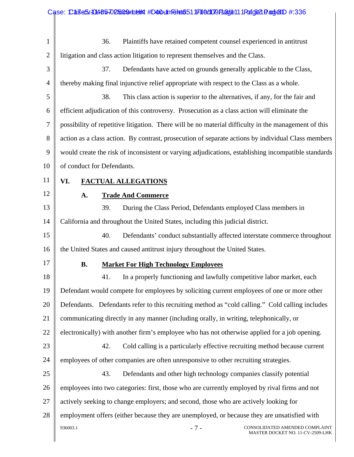|                | Case: CaseS.10485-02509unelth #D40unFelt6511F110d109F13d1e111Fdf6821Dadje1D #:336                    |
|----------------|------------------------------------------------------------------------------------------------------|
|                |                                                                                                      |
| 1              | 36.<br>Plaintiffs have retained competent counsel experienced in antitrust                           |
| $\overline{2}$ | litigation and class action litigation to represent themselves and the Class.                        |
| 3              | 37.<br>Defendants have acted on grounds generally applicable to the Class,                           |
| 4              | thereby making final injunctive relief appropriate with respect to the Class as a whole.             |
| 5              | 38.<br>This class action is superior to the alternatives, if any, for the fair and                   |
| 6              | efficient adjudication of this controversy. Prosecution as a class action will eliminate the         |
| 7              | possibility of repetitive litigation. There will be no material difficulty in the management of this |
| 8              | action as a class action. By contrast, prosecution of separate actions by individual Class members   |
| 9              | would create the risk of inconsistent or varying adjudications, establishing incompatible standards  |
| 10             | of conduct for Defendants.                                                                           |
| 11             | VI.<br><b>FACTUAL ALLEGATIONS</b>                                                                    |
| 12             | <b>Trade And Commerce</b><br>A.                                                                      |
| 13             | 39.<br>During the Class Period, Defendants employed Class members in                                 |
| 14             | California and throughout the United States, including this judicial district.                       |
| 15             | 40.<br>Defendants' conduct substantially affected interstate commerce throughout                     |
| 16             | the United States and caused antitrust injury throughout the United States.                          |
| 17             | <b>Market For High Technology Employees</b><br><b>B.</b>                                             |
| 18             | In a properly functioning and lawfully competitive labor market, each<br>41.                         |
| 19             | Defendant would compete for employees by soliciting current employees of one or more other           |
| 20             | Defendants. Defendants refer to this recruiting method as "cold calling." Cold calling includes      |
| 21             | communicating directly in any manner (including orally, in writing, telephonically, or               |
| 22             | electronically) with another firm's employee who has not otherwise applied for a job opening.        |
| 23             | Cold calling is a particularly effective recruiting method because current<br>42.                    |
| 24             | employees of other companies are often unresponsive to other recruiting strategies.                  |
| 25             | 43.<br>Defendants and other high technology companies classify potential                             |
| 26             | employees into two categories: first, those who are currently employed by rival firms and not        |
| 27             | actively seeking to change employers; and second, those who are actively looking for                 |
| 28             | employment offers (either because they are unemployed, or because they are unsatisfied with          |
|                | 936003.1<br>$-7-$<br>CONSOLIDATED AMENDED COMPLAINT<br>MASTER DOCKET NO. 11-CV-2509-LHK              |

 $\mathsf{l}$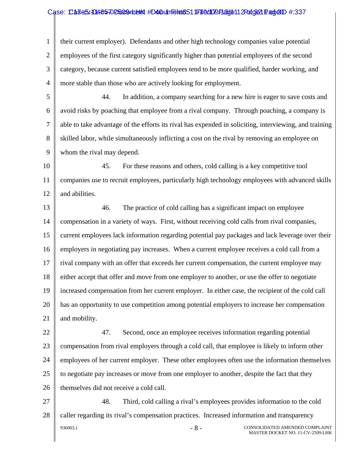#### Case: Case5.4048570 D5009 Holen #D40 + 101 Filed: 1171 10 Al09 Page 12 Page 21 Page 21 D #:337

1 2 3 4 their current employer). Defendants and other high technology companies value potential employees of the first category significantly higher than potential employees of the second category, because current satisfied employees tend to be more qualified, harder working, and more stable than those who are actively looking for employment.

5 6 7 8 9 44. In addition, a company searching for a new hire is eager to save costs and avoid risks by poaching that employee from a rival company. Through poaching, a company is able to take advantage of the efforts its rival has expended in soliciting, interviewing, and training skilled labor, while simultaneously inflicting a cost on the rival by removing an employee on whom the rival may depend.

10 11 12 45. For these reasons and others, cold calling is a key competitive tool companies use to recruit employees, particularly high technology employees with advanced skills and abilities.

13 14 15 16 17 18 19 20 21 46. The practice of cold calling has a significant impact on employee compensation in a variety of ways. First, without receiving cold calls from rival companies, current employees lack information regarding potential pay packages and lack leverage over their employers in negotiating pay increases. When a current employee receives a cold call from a rival company with an offer that exceeds her current compensation, the current employee may either accept that offer and move from one employer to another, or use the offer to negotiate increased compensation from her current employer. In either case, the recipient of the cold call has an opportunity to use competition among potential employers to increase her compensation and mobility.

22 23 24 25 26 47. Second, once an employee receives information regarding potential compensation from rival employers through a cold call, that employee is likely to inform other employees of her current employer. These other employees often use the information themselves to negotiate pay increases or move from one employer to another, despite the fact that they themselves did not receive a cold call.

27 28 936003.1 - 8 - CONSOLIDATED AMENDED COMPLAINT MASTER DOCKET NO. 11-CV-2509-LHK 48. Third, cold calling a rival's employees provides information to the cold caller regarding its rival's compensation practices. Increased information and transparency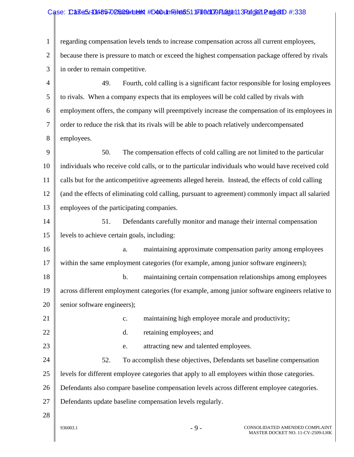## Case: Case5.4048570 D5009 Hold #D40 UnTel ad 51 JF1 0 d00 PLage 13 Page 2 and 2D #:338

| $\mathbf{1}$   | regarding compensation levels tends to increase compensation across all current employees,        |
|----------------|---------------------------------------------------------------------------------------------------|
| $\overline{2}$ | because there is pressure to match or exceed the highest compensation package offered by rivals   |
| 3              | in order to remain competitive.                                                                   |
| 4              | 49.<br>Fourth, cold calling is a significant factor responsible for losing employees              |
| 5              | to rivals. When a company expects that its employees will be cold called by rivals with           |
| 6              | employment offers, the company will preemptively increase the compensation of its employees in    |
| 7              | order to reduce the risk that its rivals will be able to poach relatively undercompensated        |
| 8              | employees.                                                                                        |
| 9              | 50.<br>The compensation effects of cold calling are not limited to the particular                 |
| 10             | individuals who receive cold calls, or to the particular individuals who would have received cold |
| 11             | calls but for the anticompetitive agreements alleged herein. Instead, the effects of cold calling |
| 12             | (and the effects of eliminating cold calling, pursuant to agreement) commonly impact all salaried |
| 13             | employees of the participating companies.                                                         |
| 14             | 51.<br>Defendants carefully monitor and manage their internal compensation                        |
| 15             | levels to achieve certain goals, including:                                                       |
| 16             | maintaining approximate compensation parity among employees<br>a.                                 |
| 17             | within the same employment categories (for example, among junior software engineers);             |
| 18             | maintaining certain compensation relationships among employees<br>$\mathbf b$ .                   |
| 19             | across different employment categories (for example, among junior software engineers relative to  |
| 20             | senior software engineers);                                                                       |
| 21             | maintaining high employee morale and productivity;<br>$\mathbf{c}$ .                              |
| 22             | retaining employees; and<br>d.                                                                    |
| 23             | attracting new and talented employees.<br>e.                                                      |
| 24             | 52.<br>To accomplish these objectives, Defendants set baseline compensation                       |
| 25             | levels for different employee categories that apply to all employees within those categories.     |
| 26             | Defendants also compare baseline compensation levels across different employee categories.        |
| 27             | Defendants update baseline compensation levels regularly.                                         |
| 28             |                                                                                                   |
|                |                                                                                                   |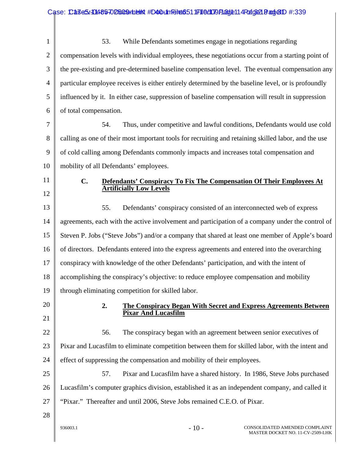| $\mathbf{1}$   | 53.<br>While Defendants sometimes engage in negotiations regarding                                   |
|----------------|------------------------------------------------------------------------------------------------------|
| $\overline{2}$ | compensation levels with individual employees, these negotiations occur from a starting point of     |
| 3              | the pre-existing and pre-determined baseline compensation level. The eventual compensation any       |
| $\overline{4}$ | particular employee receives is either entirely determined by the baseline level, or is profoundly   |
| 5              | influenced by it. In either case, suppression of baseline compensation will result in suppression    |
| 6              | of total compensation.                                                                               |
| $\tau$         | 54.<br>Thus, under competitive and lawful conditions, Defendants would use cold                      |
| 8              | calling as one of their most important tools for recruiting and retaining skilled labor, and the use |
| 9              | of cold calling among Defendants commonly impacts and increases total compensation and               |
| 10             | mobility of all Defendants' employees.                                                               |
| 11             | $C_{\bullet}$<br>Defendants' Conspiracy To Fix The Compensation Of Their Employees At                |
| 12             | <b>Artificially Low Levels</b>                                                                       |
| 13             | 55.<br>Defendants' conspiracy consisted of an interconnected web of express                          |
| 14             | agreements, each with the active involvement and participation of a company under the control of     |
| 15             | Steven P. Jobs ("Steve Jobs") and/or a company that shared at least one member of Apple's board      |
| 16             | of directors. Defendants entered into the express agreements and entered into the overarching        |
| 17             | conspiracy with knowledge of the other Defendants' participation, and with the intent of             |
| 18             | accomplishing the conspiracy's objective: to reduce employee compensation and mobility               |
| 19             | through eliminating competition for skilled labor.                                                   |
| 20             | 2.<br><b>The Conspiracy Began With Secret and Express Agreements Between</b>                         |
| 21             | <b>Pixar And Lucasfilm</b>                                                                           |
| 22             | The conspiracy began with an agreement between senior executives of<br>56.                           |
| 23             | Pixar and Lucasfilm to eliminate competition between them for skilled labor, with the intent and     |
| 24             | effect of suppressing the compensation and mobility of their employees.                              |
| 25             | Pixar and Lucasfilm have a shared history. In 1986, Steve Jobs purchased<br>57.                      |
| 26             | Lucasfilm's computer graphics division, established it as an independent company, and called it      |
| 27             | "Pixar." Thereafter and until 2006, Steve Jobs remained C.E.O. of Pixar.                             |
| 28             |                                                                                                      |
|                | $-10-$<br>CONSOLIDATED AMENDED COMPLAINT<br>936003.1<br>MASTER DOCKET NO. 11-CV-2509-LHK             |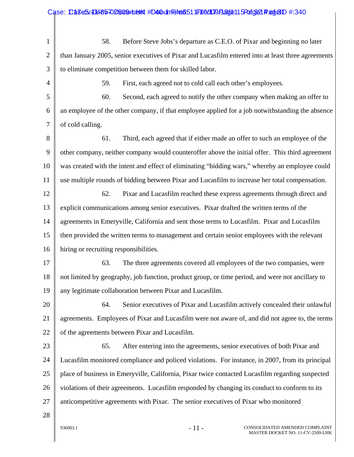|                | Case: CaseS/-01485-02509+helikt #D40+1mFelte6511F110d1079Fladje115Fodg321 Fadje1D #:340            |
|----------------|----------------------------------------------------------------------------------------------------|
|                |                                                                                                    |
| $\mathbf{1}$   | Before Steve Jobs's departure as C.E.O. of Pixar and beginning no later<br>58.                     |
| $\overline{2}$ | than January 2005, senior executives of Pixar and Lucasfilm entered into at least three agreements |
| 3              | to eliminate competition between them for skilled labor.                                           |
| 4              | First, each agreed not to cold call each other's employees.<br>59.                                 |
| 5              | Second, each agreed to notify the other company when making an offer to<br>60.                     |
| 6              | an employee of the other company, if that employee applied for a job notwithstanding the absence   |
| 7              | of cold calling.                                                                                   |
| 8              | 61.<br>Third, each agreed that if either made an offer to such an employee of the                  |
| 9              | other company, neither company would counteroffer above the initial offer. This third agreement    |
| 10             | was created with the intent and effect of eliminating "bidding wars," whereby an employee could    |
| 11             | use multiple rounds of bidding between Pixar and Lucasfilm to increase her total compensation.     |
| 12             | 62.<br>Pixar and Lucasfilm reached these express agreements through direct and                     |
| 13             | explicit communications among senior executives. Pixar drafted the written terms of the            |
| 14             | agreements in Emeryville, California and sent those terms to Lucasfilm. Pixar and Lucasfilm        |
| 15             | then provided the written terms to management and certain senior employees with the relevant       |
| 16             | hiring or recruiting responsibilities.                                                             |
| 17             | 63.<br>The three agreements covered all employees of the two companies, were                       |
| 18             | not limited by geography, job function, product group, or time period, and were not ancillary to   |
| 19             | any legitimate collaboration between Pixar and Lucasfilm.                                          |
| 20             | Senior executives of Pixar and Lucasfilm actively concealed their unlawful<br>64.                  |
| 21             | agreements. Employees of Pixar and Lucasfilm were not aware of, and did not agree to, the terms    |
| 22             | of the agreements between Pixar and Lucasfilm.                                                     |
| 23             | After entering into the agreements, senior executives of both Pixar and<br>65.                     |
| 24             | Lucasfilm monitored compliance and policed violations. For instance, in 2007, from its principal   |
| 25             | place of business in Emeryville, California, Pixar twice contacted Lucasfilm regarding suspected   |
| 26             | violations of their agreements. Lucasfilm responded by changing its conduct to conform to its      |
| 27             | anticompetitive agreements with Pixar. The senior executives of Pixar who monitored                |
| 28             |                                                                                                    |
|                | $-11-$<br>CONSOLIDATED AMENDED COMPLAINT<br>936003.1                                               |

 $\mathsf{l}$ 

MASTER DOCKET NO. 11-CV-2509-LHK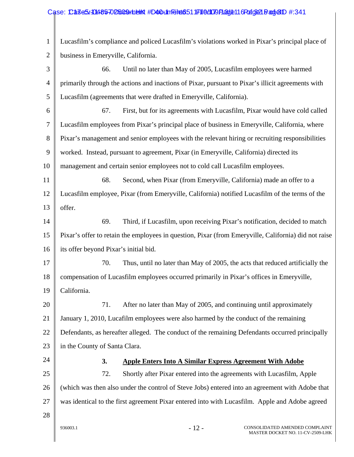## Case: Case5.4048570 D5009 Holen #D40 + 101 Filed: 1171 | 0 d1019 Play 12:11 G Pod Ge21 Band & 1D #:341

1 2 Lucasfilm's compliance and policed Lucasfilm's violations worked in Pixar's principal place of business in Emeryville, California.

3 4 5 66. Until no later than May of 2005, Lucasfilm employees were harmed primarily through the actions and inactions of Pixar, pursuant to Pixar's illicit agreements with Lucasfilm (agreements that were drafted in Emeryville, California).

6 7 8 9 10 67. First, but for its agreements with Lucasfilm, Pixar would have cold called Lucasfilm employees from Pixar's principal place of business in Emeryville, California, where Pixar's management and senior employees with the relevant hiring or recruiting responsibilities worked. Instead, pursuant to agreement, Pixar (in Emeryville, California) directed its management and certain senior employees not to cold call Lucasfilm employees.

11 12 13 68. Second, when Pixar (from Emeryville, California) made an offer to a Lucasfilm employee, Pixar (from Emeryville, California) notified Lucasfilm of the terms of the offer.

14 15 16 69. Third, if Lucasfilm, upon receiving Pixar's notification, decided to match Pixar's offer to retain the employees in question, Pixar (from Emeryville, California) did not raise its offer beyond Pixar's initial bid.

17 18 19 70. Thus, until no later than May of 2005, the acts that reduced artificially the compensation of Lucasfilm employees occurred primarily in Pixar's offices in Emeryville, California.

20 21 22 23 71. After no later than May of 2005, and continuing until approximately January 1, 2010, Lucafilm employees were also harmed by the conduct of the remaining Defendants, as hereafter alleged. The conduct of the remaining Defendants occurred principally in the County of Santa Clara.

24

## **3. Apple Enters Into A Similar Express Agreement With Adobe**

25 26 27 72. Shortly after Pixar entered into the agreements with Lucasfilm, Apple (which was then also under the control of Steve Jobs) entered into an agreement with Adobe that was identical to the first agreement Pixar entered into with Lucasfilm. Apple and Adobe agreed

28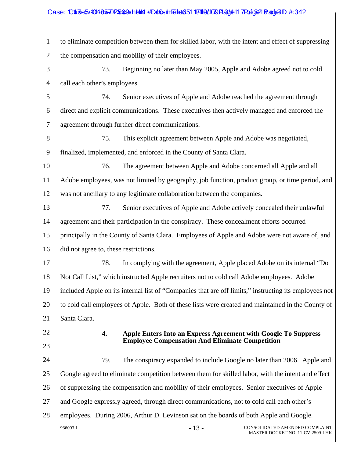## Case: Case3/1048570 D5009 rin elinit #D40 tilm Feliat 651 1711 0 d1079 Page11 7 Pafg 21 Page10 #:342

| $\mathbf{1}$   | to eliminate competition between them for skilled labor, with the intent and effect of suppressing    |
|----------------|-------------------------------------------------------------------------------------------------------|
| $\overline{2}$ | the compensation and mobility of their employees.                                                     |
| 3              | 73.<br>Beginning no later than May 2005, Apple and Adobe agreed not to cold                           |
| $\overline{4}$ | call each other's employees.                                                                          |
| 5              | Senior executives of Apple and Adobe reached the agreement through<br>74.                             |
| 6              | direct and explicit communications. These executives then actively managed and enforced the           |
| 7              | agreement through further direct communications.                                                      |
| 8              | This explicit agreement between Apple and Adobe was negotiated,<br>75.                                |
| 9              | finalized, implemented, and enforced in the County of Santa Clara.                                    |
| 10             | The agreement between Apple and Adobe concerned all Apple and all<br>76.                              |
| 11             | Adobe employees, was not limited by geography, job function, product group, or time period, and       |
| 12             | was not ancillary to any legitimate collaboration between the companies.                              |
| 13             | Senior executives of Apple and Adobe actively concealed their unlawful<br>77.                         |
| 14             | agreement and their participation in the conspiracy. These concealment efforts occurred               |
| 15             | principally in the County of Santa Clara. Employees of Apple and Adobe were not aware of, and         |
| 16             | did not agree to, these restrictions.                                                                 |
| 17             | 78.<br>In complying with the agreement, Apple placed Adobe on its internal "Do                        |
| 18             | Not Call List," which instructed Apple recruiters not to cold call Adobe employees. Adobe             |
| 19             | included Apple on its internal list of "Companies that are off limits," instructing its employees not |
| 20             | to cold call employees of Apple. Both of these lists were created and maintained in the County of     |
| 21             | Santa Clara.                                                                                          |
| 22             | 4.<br><b>Apple Enters Into an Express Agreement with Google To Suppress</b>                           |
| 23             | <b>Employee Compensation And Eliminate Competition</b>                                                |
| 24             | 79.<br>The conspiracy expanded to include Google no later than 2006. Apple and                        |
| 25             | Google agreed to eliminate competition between them for skilled labor, with the intent and effect     |
| 26             | of suppressing the compensation and mobility of their employees. Senior executives of Apple           |
| 27             | and Google expressly agreed, through direct communications, not to cold call each other's             |
| 28             | employees. During 2006, Arthur D. Levinson sat on the boards of both Apple and Google.                |
|                | $-13-$<br>936003.1<br>CONSOLIDATED AMENDED COMPLAINT<br>MASTER DOCKET NO. 11-CV-2509-LHK              |
|                |                                                                                                       |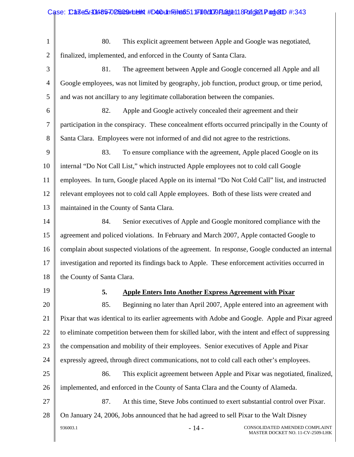|                | Case: CaseS/-01485-02509+helikt #D40+1mFelet6511F110d1079Fladje118FortgB21Fadje1D #:343            |  |  |  |
|----------------|----------------------------------------------------------------------------------------------------|--|--|--|
|                |                                                                                                    |  |  |  |
| $\mathbf{1}$   | This explicit agreement between Apple and Google was negotiated,<br>80.                            |  |  |  |
| $\overline{2}$ | finalized, implemented, and enforced in the County of Santa Clara.                                 |  |  |  |
| 3              | 81.<br>The agreement between Apple and Google concerned all Apple and all                          |  |  |  |
| $\overline{4}$ | Google employees, was not limited by geography, job function, product group, or time period,       |  |  |  |
| 5              | and was not ancillary to any legitimate collaboration between the companies.                       |  |  |  |
| 6              | 82.<br>Apple and Google actively concealed their agreement and their                               |  |  |  |
| 7              | participation in the conspiracy. These concealment efforts occurred principally in the County of   |  |  |  |
| 8              | Santa Clara. Employees were not informed of and did not agree to the restrictions.                 |  |  |  |
| 9              | 83.<br>To ensure compliance with the agreement, Apple placed Google on its                         |  |  |  |
| 10             | internal "Do Not Call List," which instructed Apple employees not to cold call Google              |  |  |  |
| 11             | employees. In turn, Google placed Apple on its internal "Do Not Cold Call" list, and instructed    |  |  |  |
| 12             | relevant employees not to cold call Apple employees. Both of these lists were created and          |  |  |  |
| 13             | maintained in the County of Santa Clara.                                                           |  |  |  |
| 14             | 84.<br>Senior executives of Apple and Google monitored compliance with the                         |  |  |  |
| 15             | agreement and policed violations. In February and March 2007, Apple contacted Google to            |  |  |  |
| 16             | complain about suspected violations of the agreement. In response, Google conducted an internal    |  |  |  |
| 17             | investigation and reported its findings back to Apple. These enforcement activities occurred in    |  |  |  |
| 18             | the County of Santa Clara.                                                                         |  |  |  |
| 19             | 5.<br><b>Apple Enters Into Another Express Agreement with Pixar</b>                                |  |  |  |
| 20             | 85.<br>Beginning no later than April 2007, Apple entered into an agreement with                    |  |  |  |
| 21             | Pixar that was identical to its earlier agreements with Adobe and Google. Apple and Pixar agreed   |  |  |  |
| 22             | to eliminate competition between them for skilled labor, with the intent and effect of suppressing |  |  |  |
| 23             | the compensation and mobility of their employees. Senior executives of Apple and Pixar             |  |  |  |
| 24             | expressly agreed, through direct communications, not to cold call each other's employees.          |  |  |  |
| 25             | 86.<br>This explicit agreement between Apple and Pixar was negotiated, finalized,                  |  |  |  |
| 26             | implemented, and enforced in the County of Santa Clara and the County of Alameda.                  |  |  |  |
| 27             | 87.<br>At this time, Steve Jobs continued to exert substantial control over Pixar.                 |  |  |  |
| 28             | On January 24, 2006, Jobs announced that he had agreed to sell Pixar to the Walt Disney            |  |  |  |
|                | $-14-$<br>936003.1<br>CONSOLIDATED AMENDED COMPLAINT<br>MASTER DOCKET NO. 11-CV-2509-LHK           |  |  |  |
|                |                                                                                                    |  |  |  |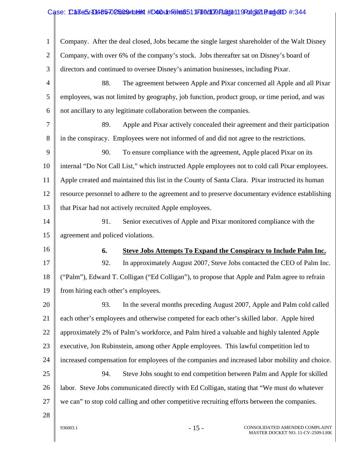## Case: Case3/10485-02509 Hb ## # D40 Un Felt 051 File d09 Page 11 9 Page 2 Page 1 #:344

| $\mathbf{1}$                                             | Company. After the deal closed, Jobs became the single largest shareholder of the Walt Disney   |  |  |  |
|----------------------------------------------------------|-------------------------------------------------------------------------------------------------|--|--|--|
| $\overline{2}$                                           | Company, with over 6% of the company's stock. Jobs thereafter sat on Disney's board of          |  |  |  |
| 3                                                        | directors and continued to oversee Disney's animation businesses, including Pixar.              |  |  |  |
| 4                                                        | 88.<br>The agreement between Apple and Pixar concerned all Apple and all Pixar                  |  |  |  |
| 5                                                        | employees, was not limited by geography, job function, product group, or time period, and was   |  |  |  |
| 6                                                        | not ancillary to any legitimate collaboration between the companies.                            |  |  |  |
| 7                                                        | 89.<br>Apple and Pixar actively concealed their agreement and their participation               |  |  |  |
| 8                                                        | in the conspiracy. Employees were not informed of and did not agree to the restrictions.        |  |  |  |
| 9                                                        | 90.<br>To ensure compliance with the agreement, Apple placed Pixar on its                       |  |  |  |
| 10                                                       | internal "Do Not Call List," which instructed Apple employees not to cold call Pixar employees. |  |  |  |
| 11                                                       | Apple created and maintained this list in the County of Santa Clara. Pixar instructed its human |  |  |  |
| 12                                                       | resource personnel to adhere to the agreement and to preserve documentary evidence establishing |  |  |  |
| 13                                                       | that Pixar had not actively recruited Apple employees.                                          |  |  |  |
| 14                                                       | 91.<br>Senior executives of Apple and Pixar monitored compliance with the                       |  |  |  |
|                                                          | agreement and policed violations.                                                               |  |  |  |
|                                                          |                                                                                                 |  |  |  |
|                                                          | <b>Steve Jobs Attempts To Expand the Conspiracy to Include Palm Inc.</b><br>6.                  |  |  |  |
|                                                          | 92.<br>In approximately August 2007, Steve Jobs contacted the CEO of Palm Inc.                  |  |  |  |
|                                                          | ("Palm"), Edward T. Colligan ("Ed Colligan"), to propose that Apple and Palm agree to refrain   |  |  |  |
|                                                          | from hiring each other's employees.                                                             |  |  |  |
|                                                          | 93.<br>In the several months preceding August 2007, Apple and Palm cold called                  |  |  |  |
|                                                          | each other's employees and otherwise competed for each other's skilled labor. Apple hired       |  |  |  |
|                                                          | approximately 2% of Palm's workforce, and Palm hired a valuable and highly talented Apple       |  |  |  |
|                                                          | executive, Jon Rubinstein, among other Apple employees. This lawful competition led to          |  |  |  |
| 15<br>16<br>17<br>18<br>19<br>20<br>21<br>22<br>23<br>24 | increased compensation for employees of the companies and increased labor mobility and choice.  |  |  |  |
|                                                          | 94.<br>Steve Jobs sought to end competition between Palm and Apple for skilled                  |  |  |  |
| 25<br>26                                                 | labor. Steve Jobs communicated directly with Ed Colligan, stating that "We must do whatever     |  |  |  |
| 27                                                       | we can" to stop cold calling and other competitive recruiting efforts between the companies.    |  |  |  |
| 28                                                       |                                                                                                 |  |  |  |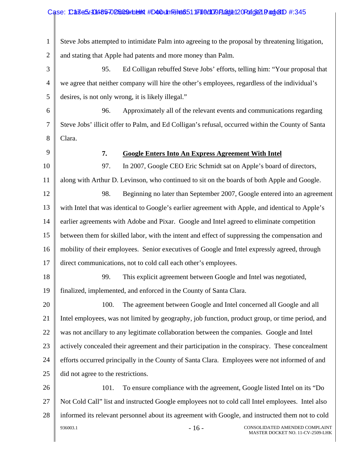#### 1 2 3 4 5 6 7 8 9 10 11 12 13 14 15 16 17 18 19 20 21 22 23 24 25 26 27 28 Steve Jobs attempted to intimidate Palm into agreeing to the proposal by threatening litigation, and stating that Apple had patents and more money than Palm. 95. Ed Colligan rebuffed Steve Jobs' efforts, telling him: "Your proposal that we agree that neither company will hire the other's employees, regardless of the individual's desires, is not only wrong, it is likely illegal." 96. Approximately all of the relevant events and communications regarding Steve Jobs' illicit offer to Palm, and Ed Colligan's refusal, occurred within the County of Santa Clara. **7. Google Enters Into An Express Agreement With Intel** 97. In 2007, Google CEO Eric Schmidt sat on Apple's board of directors, along with Arthur D. Levinson, who continued to sit on the boards of both Apple and Google. 98. Beginning no later than September 2007, Google entered into an agreement with Intel that was identical to Google's earlier agreement with Apple, and identical to Apple's earlier agreements with Adobe and Pixar. Google and Intel agreed to eliminate competition between them for skilled labor, with the intent and effect of suppressing the compensation and mobility of their employees. Senior executives of Google and Intel expressly agreed, through direct communications, not to cold call each other's employees. 99. This explicit agreement between Google and Intel was negotiated, finalized, implemented, and enforced in the County of Santa Clara. 100. The agreement between Google and Intel concerned all Google and all Intel employees, was not limited by geography, job function, product group, or time period, and was not ancillary to any legitimate collaboration between the companies. Google and Intel actively concealed their agreement and their participation in the conspiracy. These concealment efforts occurred principally in the County of Santa Clara. Employees were not informed of and did not agree to the restrictions. 101. To ensure compliance with the agreement, Google listed Intel on its "Do Not Cold Call" list and instructed Google employees not to cold call Intel employees. Intel also informed its relevant personnel about its agreement with Google, and instructed them not to cold Case: Case5.1048570 D5009 Holen #D40 Lin Felted 51 JF1 6 d109 Flad (e12 O Pafge21 Pangel D #:345

936003.1  $16 - 16 -$  CONSOLIDATED AMENDED COMPLAINT MASTER DOCKET NO. 11-CV-2509-LHK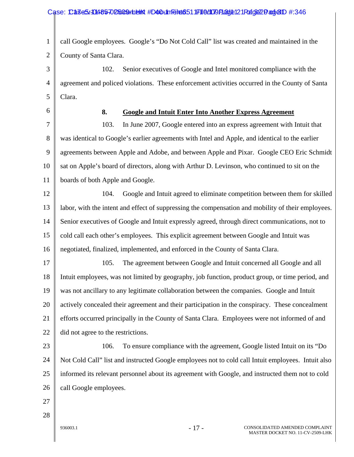#### Case: Case5.1048570 D5009 Holen #D40 Linn Filed: 051 IF1 16 d1079 Fladde12 1 Page 20 and e1D #:346

1 2 call Google employees. Google's "Do Not Cold Call" list was created and maintained in the County of Santa Clara.

3 4 5 102. Senior executives of Google and Intel monitored compliance with the agreement and policed violations. These enforcement activities occurred in the County of Santa Clara.

6

## **8. Google and Intuit Enter Into Another Express Agreement**

7 8 9 10 11 103. In June 2007, Google entered into an express agreement with Intuit that was identical to Google's earlier agreements with Intel and Apple, and identical to the earlier agreements between Apple and Adobe, and between Apple and Pixar. Google CEO Eric Schmidt sat on Apple's board of directors, along with Arthur D. Levinson, who continued to sit on the boards of both Apple and Google.

12 13 14 15 16 104. Google and Intuit agreed to eliminate competition between them for skilled labor, with the intent and effect of suppressing the compensation and mobility of their employees. Senior executives of Google and Intuit expressly agreed, through direct communications, not to cold call each other's employees. This explicit agreement between Google and Intuit was negotiated, finalized, implemented, and enforced in the County of Santa Clara.

17 18 19 20 21 22 105. The agreement between Google and Intuit concerned all Google and all Intuit employees, was not limited by geography, job function, product group, or time period, and was not ancillary to any legitimate collaboration between the companies. Google and Intuit actively concealed their agreement and their participation in the conspiracy. These concealment efforts occurred principally in the County of Santa Clara. Employees were not informed of and did not agree to the restrictions.

23 24 25 26 106. To ensure compliance with the agreement, Google listed Intuit on its "Do Not Cold Call" list and instructed Google employees not to cold call Intuit employees. Intuit also informed its relevant personnel about its agreement with Google, and instructed them not to cold call Google employees.

- 27
- 28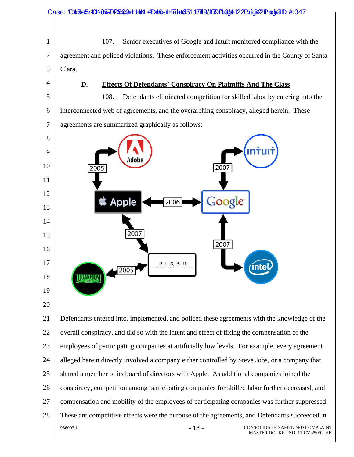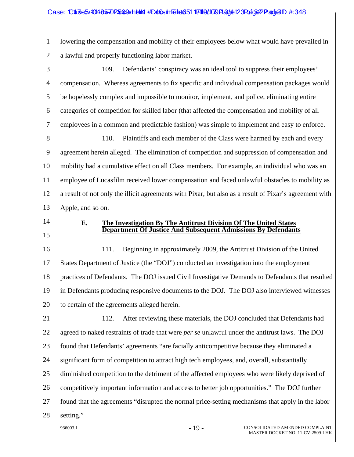#### Case: Case3/1048570 D5009 Holen #D40 Linn Filed: 1171 0 d1079 Playte12 3 Page 22 Page1D #:348

1 2 lowering the compensation and mobility of their employees below what would have prevailed in a lawful and properly functioning labor market.

3 4 5 6 7 8 9 10 11 109. Defendants' conspiracy was an ideal tool to suppress their employees' compensation. Whereas agreements to fix specific and individual compensation packages would be hopelessly complex and impossible to monitor, implement, and police, eliminating entire categories of competition for skilled labor (that affected the compensation and mobility of all employees in a common and predictable fashion) was simple to implement and easy to enforce. 110. Plaintiffs and each member of the Class were harmed by each and every agreement herein alleged. The elimination of competition and suppression of compensation and mobility had a cumulative effect on all Class members. For example, an individual who was an employee of Lucasfilm received lower compensation and faced unlawful obstacles to mobility as

12 13 a result of not only the illicit agreements with Pixar, but also as a result of Pixar's agreement with Apple, and so on.

14 15

#### **E. The Investigation By The Antitrust Division Of The United States Department Of Justice And Subsequent Admissions By Defendants**

16 17 18 19 20 111. Beginning in approximately 2009, the Antitrust Division of the United States Department of Justice (the "DOJ") conducted an investigation into the employment practices of Defendants. The DOJ issued Civil Investigative Demands to Defendants that resulted in Defendants producing responsive documents to the DOJ. The DOJ also interviewed witnesses to certain of the agreements alleged herein.

21 22 23 24 25 26 27 28 112. After reviewing these materials, the DOJ concluded that Defendants had agreed to naked restraints of trade that were *per se* unlawful under the antitrust laws. The DOJ found that Defendants' agreements "are facially anticompetitive because they eliminated a significant form of competition to attract high tech employees, and, overall, substantially diminished competition to the detriment of the affected employees who were likely deprived of competitively important information and access to better job opportunities." The DOJ further found that the agreements "disrupted the normal price-setting mechanisms that apply in the labor setting."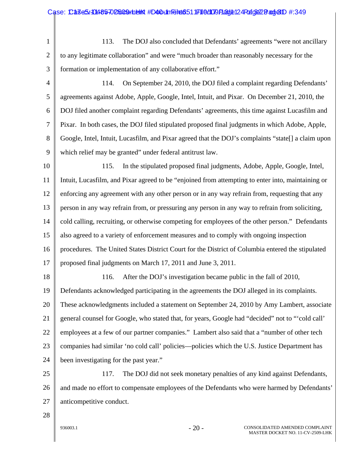1 2 3 113. The DOJ also concluded that Defendants' agreements "were not ancillary to any legitimate collaboration" and were "much broader than reasonably necessary for the formation or implementation of any collaborative effort."

4 5 6 7 8 9 114. On September 24, 2010, the DOJ filed a complaint regarding Defendants' agreements against Adobe, Apple, Google, Intel, Intuit, and Pixar. On December 21, 2010, the DOJ filed another complaint regarding Defendants' agreements, this time against Lucasfilm and Pixar. In both cases, the DOJ filed stipulated proposed final judgments in which Adobe, Apple, Google, Intel, Intuit, Lucasfilm, and Pixar agreed that the DOJ's complaints "state[] a claim upon which relief may be granted" under federal antitrust law.

10 11 12 13 14 15 16 17 115. In the stipulated proposed final judgments, Adobe, Apple, Google, Intel, Intuit, Lucasfilm, and Pixar agreed to be "enjoined from attempting to enter into, maintaining or enforcing any agreement with any other person or in any way refrain from, requesting that any person in any way refrain from, or pressuring any person in any way to refrain from soliciting, cold calling, recruiting, or otherwise competing for employees of the other person." Defendants also agreed to a variety of enforcement measures and to comply with ongoing inspection procedures. The United States District Court for the District of Columbia entered the stipulated proposed final judgments on March 17, 2011 and June 3, 2011.

18 19 20 21 22 23 24 116. After the DOJ's investigation became public in the fall of 2010, Defendants acknowledged participating in the agreements the DOJ alleged in its complaints. These acknowledgments included a statement on September 24, 2010 by Amy Lambert, associate general counsel for Google, who stated that, for years, Google had "decided" not to "'cold call' employees at a few of our partner companies." Lambert also said that a "number of other tech companies had similar 'no cold call' policies—policies which the U.S. Justice Department has been investigating for the past year."

25 26 27 117. The DOJ did not seek monetary penalties of any kind against Defendants, and made no effort to compensate employees of the Defendants who were harmed by Defendants' anticompetitive conduct.

28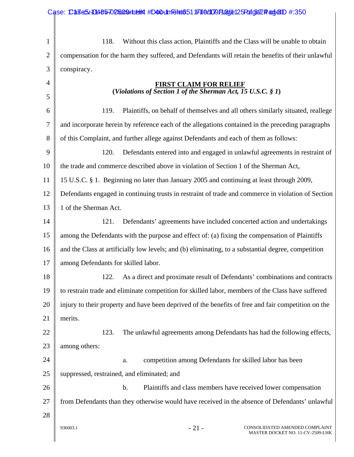|                | Case: CaseS/10485-02509undelt #D40unfelt6511F110d109F13d1e125Fdf632Padje1D #:350                    |  |  |
|----------------|-----------------------------------------------------------------------------------------------------|--|--|
|                |                                                                                                     |  |  |
| $\mathbf{1}$   | 118.<br>Without this class action, Plaintiffs and the Class will be unable to obtain                |  |  |
| $\overline{2}$ | compensation for the harm they suffered, and Defendants will retain the benefits of their unlawful  |  |  |
| 3              | conspiracy.                                                                                         |  |  |
| 4              | <b>FIRST CLAIM FOR RELIEF</b>                                                                       |  |  |
| 5              | (Violations of Section 1 of the Sherman Act, $\overline{15}$ U.S.C. § 1)                            |  |  |
| 6              | 119.<br>Plaintiffs, on behalf of themselves and all others similarly situated, reallege             |  |  |
| 7              | and incorporate herein by reference each of the allegations contained in the preceding paragraphs   |  |  |
| 8              | of this Complaint, and further allege against Defendants and each of them as follows:               |  |  |
| 9              | 120.<br>Defendants entered into and engaged in unlawful agreements in restraint of                  |  |  |
| 10             | the trade and commerce described above in violation of Section 1 of the Sherman Act,                |  |  |
| 11             | 15 U.S.C. § 1. Beginning no later than January 2005 and continuing at least through 2009,           |  |  |
| 12             | Defendants engaged in continuing trusts in restraint of trade and commerce in violation of Section  |  |  |
| 13             | 1 of the Sherman Act.                                                                               |  |  |
| 14             | 121.<br>Defendants' agreements have included concerted action and undertakings                      |  |  |
| 15             | among the Defendants with the purpose and effect of: (a) fixing the compensation of Plaintiffs      |  |  |
| 16             | and the Class at artificially low levels; and (b) eliminating, to a substantial degree, competition |  |  |
| 17             | among Defendants for skilled labor.                                                                 |  |  |
| 18             | As a direct and proximate result of Defendants' combinations and contracts<br>122.                  |  |  |
| 19             | to restrain trade and eliminate competition for skilled labor, members of the Class have suffered   |  |  |
| 20             | injury to their property and have been deprived of the benefits of free and fair competition on the |  |  |
| 21             | merits.                                                                                             |  |  |
| 22             | 123.<br>The unlawful agreements among Defendants has had the following effects,                     |  |  |
| 23             | among others:                                                                                       |  |  |
| 24             | competition among Defendants for skilled labor has been<br>a.                                       |  |  |
| 25             | suppressed, restrained, and eliminated; and                                                         |  |  |
| 26             | $\mathbf b$ .<br>Plaintiffs and class members have received lower compensation                      |  |  |
| 27             | from Defendants than they otherwise would have received in the absence of Defendants' unlawful      |  |  |
| 28             |                                                                                                     |  |  |
|                | $-21-$<br>936003.1<br>CONSOLIDATED AMENDED COMPLAINT<br>MASTER DOCKET NO. 11-CV-2509-LHK            |  |  |

I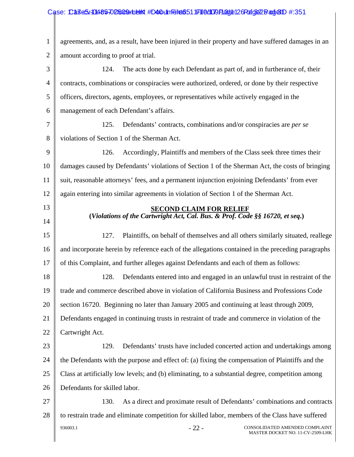#### 1 2 3 4 5 6 7 8 9 10 11 12 13 14 15 16 17 18 19 20 21 22 23 24 25 26 27 28 936003.1  $-22$  - CONSOLIDATED AMENDED COMPLAINT MASTER DOCKET NO. 11-CV-2509-LHK agreements, and, as a result, have been injured in their property and have suffered damages in an amount according to proof at trial. 124. The acts done by each Defendant as part of, and in furtherance of, their contracts, combinations or conspiracies were authorized, ordered, or done by their respective officers, directors, agents, employees, or representatives while actively engaged in the management of each Defendant's affairs. 125. Defendants' contracts, combinations and/or conspiracies are *per se* violations of Section 1 of the Sherman Act. 126. Accordingly, Plaintiffs and members of the Class seek three times their damages caused by Defendants' violations of Section 1 of the Sherman Act, the costs of bringing suit, reasonable attorneys' fees, and a permanent injunction enjoining Defendants' from ever again entering into similar agreements in violation of Section 1 of the Sherman Act.  **SECOND CLAIM FOR RELIEF (***Violations of the Cartwright Act, Cal. Bus. & Prof. Code §§ 16720, et seq***.)**  127. Plaintiffs, on behalf of themselves and all others similarly situated, reallege and incorporate herein by reference each of the allegations contained in the preceding paragraphs of this Complaint, and further alleges against Defendants and each of them as follows: 128. Defendants entered into and engaged in an unlawful trust in restraint of the trade and commerce described above in violation of California Business and Professions Code section 16720. Beginning no later than January 2005 and continuing at least through 2009, Defendants engaged in continuing trusts in restraint of trade and commerce in violation of the Cartwright Act. 129. Defendants' trusts have included concerted action and undertakings among the Defendants with the purpose and effect of: (a) fixing the compensation of Plaintiffs and the Class at artificially low levels; and (b) eliminating, to a substantial degree, competition among Defendants for skilled labor. 130. As a direct and proximate result of Defendants' combinations and contracts to restrain trade and eliminate competition for skilled labor, members of the Class have suffered Case: Case5.1048570 D5009 Holen #D40 Lin Filed: 351 IF1 16 Alm Page 12 GRof GE22 Pange1D #:351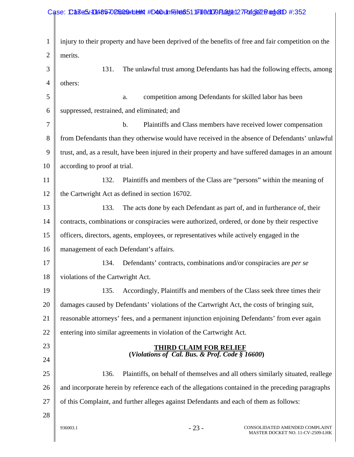#### 1 2 3 4 5 6 7 8 9 10 11 12 13 14 15 16 17 18 19 20 21 22 23 24 25 26 27 28 936003.1  $-23$  - CONSOLIDATED AMENDED COMPLAINT MASTER DOCKET NO. 11-CV-2509-LHK injury to their property and have been deprived of the benefits of free and fair competition on the merits. 131. The unlawful trust among Defendants has had the following effects, among others: a. competition among Defendants for skilled labor has been suppressed, restrained, and eliminated; and b. Plaintiffs and Class members have received lower compensation from Defendants than they otherwise would have received in the absence of Defendants' unlawful trust, and, as a result, have been injured in their property and have suffered damages in an amount according to proof at trial. 132. Plaintiffs and members of the Class are "persons" within the meaning of the Cartwright Act as defined in section 16702. 133. The acts done by each Defendant as part of, and in furtherance of, their contracts, combinations or conspiracies were authorized, ordered, or done by their respective officers, directors, agents, employees, or representatives while actively engaged in the management of each Defendant's affairs. 134. Defendants' contracts, combinations and/or conspiracies are *per se* violations of the Cartwright Act. 135. Accordingly, Plaintiffs and members of the Class seek three times their damages caused by Defendants' violations of the Cartwright Act, the costs of bringing suit, reasonable attorneys' fees, and a permanent injunction enjoining Defendants' from ever again entering into similar agreements in violation of the Cartwright Act.  **THIRD CLAIM FOR RELIEF (***Violations of Cal. Bus. & Prof. Code § 16600***)**  136. Plaintiffs, on behalf of themselves and all others similarly situated, reallege and incorporate herein by reference each of the allegations contained in the preceding paragraphs of this Complaint, and further alleges against Defendants and each of them as follows: Case: Case5.1048570 D5009 Holen #D40 Linn Filed: 051 IF1 16 d1079 Fladde12 7 Page 22 Badd e1 D #:352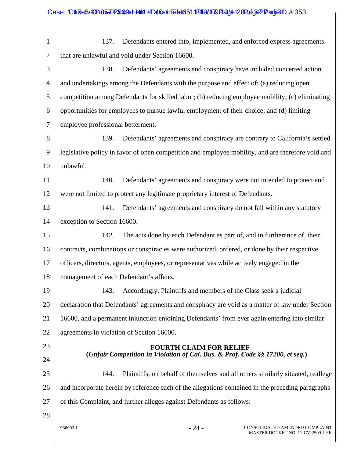|                | Case: CaseS/10485-02509unelth #D40unFelt6511F110d109Plad1e128Pdfg622Pad1e1D #:353                 |  |  |  |
|----------------|---------------------------------------------------------------------------------------------------|--|--|--|
|                |                                                                                                   |  |  |  |
| $\mathbf{1}$   | Defendants entered into, implemented, and enforced express agreements<br>137.                     |  |  |  |
| $\overline{2}$ | that are unlawful and void under Section 16600.                                                   |  |  |  |
| 3              | 138.<br>Defendants' agreements and conspiracy have included concerted action                      |  |  |  |
| $\overline{4}$ | and undertakings among the Defendants with the purpose and effect of: (a) reducing open           |  |  |  |
| 5              | competition among Defendants for skilled labor; (b) reducing employee mobility; (c) eliminating   |  |  |  |
| 6              | opportunities for employees to pursue lawful employment of their choice; and (d) limiting         |  |  |  |
| 7              | employee professional betterment.                                                                 |  |  |  |
| 8              | 139.<br>Defendants' agreements and conspiracy are contrary to California's settled                |  |  |  |
| 9              | legislative policy in favor of open competition and employee mobility, and are therefore void and |  |  |  |
| 10             | unlawful.                                                                                         |  |  |  |
| 11             | 140.<br>Defendants' agreements and conspiracy were not intended to protect and                    |  |  |  |
| 12             | were not limited to protect any legitimate proprietary interest of Defendants.                    |  |  |  |
| 13             | 141.<br>Defendants' agreements and conspiracy do not fall within any statutory                    |  |  |  |
| 14             | exception to Section 16600.                                                                       |  |  |  |
| 15             | The acts done by each Defendant as part of, and in furtherance of, their<br>142.                  |  |  |  |
| 16             | contracts, combinations or conspiracies were authorized, ordered, or done by their respective     |  |  |  |
| 17             | officers, directors, agents, employees, or representatives while actively engaged in the          |  |  |  |
| 18             | management of each Defendant's affairs.                                                           |  |  |  |
| 19             | Accordingly, Plaintiffs and members of the Class seek a judicial<br>143.                          |  |  |  |
| 20             | declaration that Defendants' agreements and conspiracy are void as a matter of law under Section  |  |  |  |
| 21             | 16600, and a permanent injunction enjoining Defendants' from ever again entering into similar     |  |  |  |
| 22             | agreements in violation of Section 16600.                                                         |  |  |  |
| 23             | <b>FOURTH CLAIM FOR RELIEF</b>                                                                    |  |  |  |
| 24             | (Unfair Competition in Violation of Cal. Bus. & Prof. Code §§ 17200, et seq.)                     |  |  |  |
| 25             | Plaintiffs, on behalf of themselves and all others similarly situated, reallege<br>144.           |  |  |  |
| 26             | and incorporate herein by reference each of the allegations contained in the preceding paragraphs |  |  |  |
| 27             | of this Complaint, and further alleges against Defendants as follows:                             |  |  |  |
| 28             |                                                                                                   |  |  |  |
|                | $-24-$<br>CONSOLIDATED AMENDED COMPLAINT<br>936003.1<br>MASTER DOCKET NO. 11-CV-2509-LHK          |  |  |  |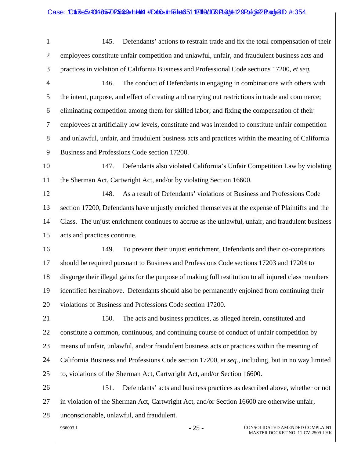| $\mathbf{1}$   | Defendants' actions to restrain trade and fix the total compensation of their<br>145.                |  |  |  |
|----------------|------------------------------------------------------------------------------------------------------|--|--|--|
| $\mathbf{2}$   | employees constitute unfair competition and unlawful, unfair, and fraudulent business acts and       |  |  |  |
| 3              | practices in violation of California Business and Professional Code sections 17200, et seq.          |  |  |  |
| $\overline{4}$ | The conduct of Defendants in engaging in combinations with others with<br>146.                       |  |  |  |
| 5              | the intent, purpose, and effect of creating and carrying out restrictions in trade and commerce;     |  |  |  |
| 6              | eliminating competition among them for skilled labor; and fixing the compensation of their           |  |  |  |
| 7              | employees at artificially low levels, constitute and was intended to constitute unfair competition   |  |  |  |
| 8              | and unlawful, unfair, and fraudulent business acts and practices within the meaning of California    |  |  |  |
| 9              | Business and Professions Code section 17200.                                                         |  |  |  |
| 10             | 147.<br>Defendants also violated California's Unfair Competition Law by violating                    |  |  |  |
| 11             | the Sherman Act, Cartwright Act, and/or by violating Section 16600.                                  |  |  |  |
| 12             | As a result of Defendants' violations of Business and Professions Code<br>148.                       |  |  |  |
| 13             | section 17200, Defendants have unjustly enriched themselves at the expense of Plaintiffs and the     |  |  |  |
| 14             | Class. The unjust enrichment continues to accrue as the unlawful, unfair, and fraudulent business    |  |  |  |
| 15             | acts and practices continue.                                                                         |  |  |  |
| 16             | To prevent their unjust enrichment, Defendants and their co-conspirators<br>149.                     |  |  |  |
| 17             | should be required pursuant to Business and Professions Code sections 17203 and 17204 to             |  |  |  |
| 18             | disgorge their illegal gains for the purpose of making full restitution to all injured class members |  |  |  |
| 19             | identified hereinabove. Defendants should also be permanently enjoined from continuing their         |  |  |  |
| 20             | violations of Business and Professions Code section 17200.                                           |  |  |  |
| 21             | 150.<br>The acts and business practices, as alleged herein, constituted and                          |  |  |  |
| 22             | constitute a common, continuous, and continuing course of conduct of unfair competition by           |  |  |  |
| 23             | means of unfair, unlawful, and/or fraudulent business acts or practices within the meaning of        |  |  |  |
| 24             | California Business and Professions Code section 17200, et seq., including, but in no way limited    |  |  |  |
| 25             | to, violations of the Sherman Act, Cartwright Act, and/or Section 16600.                             |  |  |  |
| 26             | 151.<br>Defendants' acts and business practices as described above, whether or not                   |  |  |  |
| 27             | in violation of the Sherman Act, Cartwright Act, and/or Section 16600 are otherwise unfair,          |  |  |  |
| 28             | unconscionable, unlawful, and fraudulent.                                                            |  |  |  |
|                | $-25-$<br>CONSOLIDATED AMENDED COMPLAINT<br>936003.1<br>MASTER DOCKET NO. 11-CV-2509-LHK             |  |  |  |
|                |                                                                                                      |  |  |  |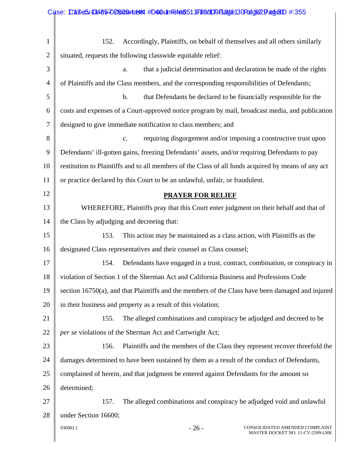|                | Case: CaseS/-0485-02509unelth #D40unFelt6511F110d109F1adde130Fcfg622Padje1D #:355                   |  |  |
|----------------|-----------------------------------------------------------------------------------------------------|--|--|
|                |                                                                                                     |  |  |
| $\mathbf{1}$   | 152.<br>Accordingly, Plaintiffs, on behalf of themselves and all others similarly                   |  |  |
| $\overline{2}$ | situated, requests the following classwide equitable relief:                                        |  |  |
| 3              | that a judicial determination and declaration be made of the rights<br>a.                           |  |  |
| $\overline{4}$ | of Plaintiffs and the Class members, and the corresponding responsibilities of Defendants;          |  |  |
| 5              | that Defendants be declared to be financially responsible for the<br>b.                             |  |  |
| 6              | costs and expenses of a Court-approved notice program by mail, broadcast media, and publication     |  |  |
| 7              | designed to give immediate notification to class members; and                                       |  |  |
| 8              | requiring disgorgement and/or imposing a constructive trust upon<br>$C_{\bullet}$                   |  |  |
| 9              | Defendants' ill-gotten gains, freezing Defendants' assets, and/or requiring Defendants to pay       |  |  |
| 10             | restitution to Plaintiffs and to all members of the Class of all funds acquired by means of any act |  |  |
| 11             | or practice declared by this Court to be an unlawful, unfair, or fraudulent.                        |  |  |
| 12             | <b>PRAYER FOR RELIEF</b>                                                                            |  |  |
| 13             | WHEREFORE, Plaintiffs pray that this Court enter judgment on their behalf and that of               |  |  |
| 14             | the Class by adjudging and decreeing that:                                                          |  |  |
| 15             | This action may be maintained as a class action, with Plaintiffs as the<br>153.                     |  |  |
| 16             | designated Class representatives and their counsel as Class counsel;                                |  |  |
| 17             | 154. Defendants have engaged in a trust, contract, combination, or conspiracy in                    |  |  |
| 18             | violation of Section 1 of the Sherman Act and California Business and Professions Code              |  |  |
| 19             | section 16750(a), and that Plaintiffs and the members of the Class have been damaged and injured    |  |  |
| 20             | in their business and property as a result of this violation;                                       |  |  |
| 21             | The alleged combinations and conspiracy be adjudged and decreed to be<br>155.                       |  |  |
| 22             | per se violations of the Sherman Act and Cartwright Act;                                            |  |  |
| 23             | Plaintiffs and the members of the Class they represent recover threefold the<br>156.                |  |  |
| 24             | damages determined to have been sustained by them as a result of the conduct of Defendants,         |  |  |
| 25             | complained of herein, and that judgment be entered against Defendants for the amount so             |  |  |
| 26             | determined;                                                                                         |  |  |
| 27             | The alleged combinations and conspiracy be adjudged void and unlawful<br>157.                       |  |  |
| 28             | under Section 16600;                                                                                |  |  |
|                | $-26-$<br>936003.1<br>CONSOLIDATED AMENDED COMPLAINT<br>MASTER DOCKET NO. 11-CV-2509-LHK            |  |  |

 $\mathsf{l}$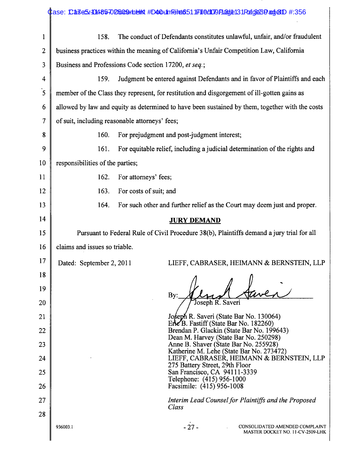|                | Case: Ca3e5/10485702509unelint #D40umTeilet6511F110d109Fladde131Fdfg623Padje1D #:356            |  |  |
|----------------|-------------------------------------------------------------------------------------------------|--|--|
| $\mathbf{1}$   | The conduct of Defendants constitutes unlawful, unfair, and/or fraudulent<br>158.               |  |  |
| $\overline{c}$ | business practices within the meaning of California's Unfair Competition Law, California        |  |  |
| 3              | Business and Professions Code section 17200, et seq.;                                           |  |  |
| 4              | Judgment be entered against Defendants and in favor of Plaintiffs and each<br>159.              |  |  |
| $\overline{5}$ | member of the Class they represent, for restitution and disgorgement of ill-gotten gains as     |  |  |
| 6              | allowed by law and equity as determined to have been sustained by them, together with the costs |  |  |
| 7              | of suit, including reasonable attorneys' fees;                                                  |  |  |
| 8              | For prejudgment and post-judgment interest;<br>160.                                             |  |  |
| 9              | For equitable relief, including a judicial determination of the rights and<br>161.              |  |  |
| 10             | responsibilities of the parties;                                                                |  |  |
| 11             | 162.<br>For attorneys' fees;                                                                    |  |  |
| 12             | 163.<br>For costs of suit; and                                                                  |  |  |
| 13             | 164.<br>For such other and further relief as the Court may deem just and proper.                |  |  |
| 14             | <b>JURY DEMAND</b>                                                                              |  |  |
| 15             | Pursuant to Federal Rule of Civil Procedure 38(b), Plaintiffs demand a jury trial for all       |  |  |
| 16             | claims and issues so triable.                                                                   |  |  |
| 17             | LIEFF, CABRASER, HEIMANN & BERNSTEIN, LLP<br>Dated: September 2, 2011                           |  |  |
| 18             |                                                                                                 |  |  |
| 19             | By:                                                                                             |  |  |
| 20             | Joseph R. Saveri                                                                                |  |  |
| 21             | Joseph R. Saveri (State Bar No. 130064)<br>EneB. Fastiff (State Bar No. 182260)                 |  |  |
| 22             | Brendan P. Glackin (State Bar No. 199643)<br>Dean M. Harvey (State Bar No. 250298)              |  |  |
| 23             | Anne B. Shaver (State Bar No. 255928)<br>Katherine M. Lehe (State Bar No. 273472)               |  |  |
| 24             | LIEFF, CABRASER, HEIMANN & BERNSTEIN, LLP<br>275 Battery Street, 29th Floor                     |  |  |
| 25             | San Francisco, CA 94111-3339<br>Telephone: (415) 956-1000                                       |  |  |
| 26             | Facsimile: (415) 956-1008                                                                       |  |  |
| 27             | Interim Lead Counsel for Plaintiffs and the Proposed<br>Class                                   |  |  |
| 28             | $-27-$<br>CONSOLIDATED AMENDED COMPLAINT<br>936003.1<br>MASTER DOCKET NO. 11-CV-2509-LHK        |  |  |